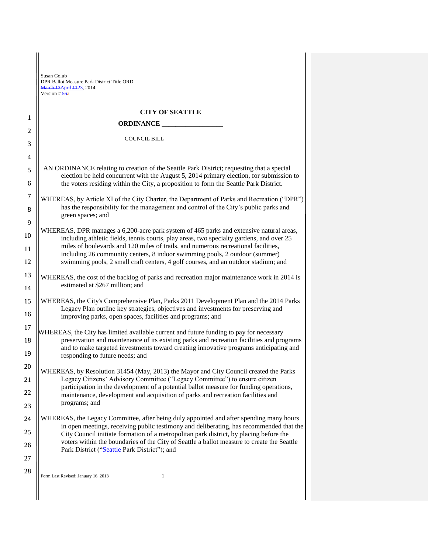|                  | Susan Golub<br>DPR Ballot Measure Park District Title ORD<br>March 13April 4423, 2014<br>Version # 56a                                                                                                                                                                                                                                              |  |
|------------------|-----------------------------------------------------------------------------------------------------------------------------------------------------------------------------------------------------------------------------------------------------------------------------------------------------------------------------------------------------|--|
|                  | <b>CITY OF SEATTLE</b>                                                                                                                                                                                                                                                                                                                              |  |
| 1                | ORDINANCE                                                                                                                                                                                                                                                                                                                                           |  |
| $\overline{2}$   |                                                                                                                                                                                                                                                                                                                                                     |  |
| 3                |                                                                                                                                                                                                                                                                                                                                                     |  |
| 4                |                                                                                                                                                                                                                                                                                                                                                     |  |
| 5<br>6           | AN ORDINANCE relating to creation of the Seattle Park District; requesting that a special<br>election be held concurrent with the August 5, 2014 primary election, for submission to<br>the voters residing within the City, a proposition to form the Seattle Park District.                                                                       |  |
| $\boldsymbol{7}$ | WHEREAS, by Article XI of the City Charter, the Department of Parks and Recreation ("DPR")<br>has the responsibility for the management and control of the City's public parks and<br>green spaces; and                                                                                                                                             |  |
| 8<br>9           |                                                                                                                                                                                                                                                                                                                                                     |  |
| 10               | WHEREAS, DPR manages a 6,200-acre park system of 465 parks and extensive natural areas,                                                                                                                                                                                                                                                             |  |
| 11               | including athletic fields, tennis courts, play areas, two specialty gardens, and over 25<br>miles of boulevards and 120 miles of trails, and numerous recreational facilities,<br>including 26 community centers, 8 indoor swimming pools, 2 outdoor (summer)<br>swimming pools, 2 small craft centers, 4 golf courses, and an outdoor stadium; and |  |
| 12               |                                                                                                                                                                                                                                                                                                                                                     |  |
| 13               | WHEREAS, the cost of the backlog of parks and recreation major maintenance work in 2014 is<br>estimated at \$267 million; and                                                                                                                                                                                                                       |  |
| 14               |                                                                                                                                                                                                                                                                                                                                                     |  |
| 15<br>16         | WHEREAS, the City's Comprehensive Plan, Parks 2011 Development Plan and the 2014 Parks<br>Legacy Plan outline key strategies, objectives and investments for preserving and                                                                                                                                                                         |  |
| 17               | improving parks, open spaces, facilities and programs; and                                                                                                                                                                                                                                                                                          |  |
| 18               | WHEREAS, the City has limited available current and future funding to pay for necessary<br>preservation and maintenance of its existing parks and recreation facilities and programs<br>and to make targeted investments toward creating innovative programs anticipating and<br>responding to future needs; and                                    |  |
| 19               |                                                                                                                                                                                                                                                                                                                                                     |  |
| 20               | WHEREAS, by Resolution 31454 (May, 2013) the Mayor and City Council created the Parks                                                                                                                                                                                                                                                               |  |
| 21               | Legacy Citizens' Advisory Committee ("Legacy Committee") to ensure citizen                                                                                                                                                                                                                                                                          |  |
| 22               | participation in the development of a potential ballot measure for funding operations,<br>maintenance, development and acquisition of parks and recreation facilities and                                                                                                                                                                           |  |
| 23               | programs; and                                                                                                                                                                                                                                                                                                                                       |  |
| 24               | WHEREAS, the Legacy Committee, after being duly appointed and after spending many hours                                                                                                                                                                                                                                                             |  |
| 25               | in open meetings, receiving public testimony and deliberating, has recommended that the<br>City Council initiate formation of a metropolitan park district, by placing before the                                                                                                                                                                   |  |
| 26               | voters within the boundaries of the City of Seattle a ballot measure to create the Seattle<br>Park District ("Seattle Park District"); and                                                                                                                                                                                                          |  |
| 27               |                                                                                                                                                                                                                                                                                                                                                     |  |
| 28               | $\mathbf{1}$<br>Form Last Revised: January 16, 2013                                                                                                                                                                                                                                                                                                 |  |
|                  |                                                                                                                                                                                                                                                                                                                                                     |  |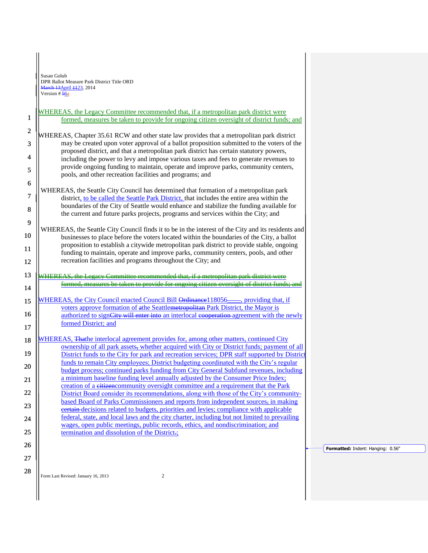Susan Golub DPR Ballot Measure Park District Title ORD  $\frac{13}{13}$ April  $\frac{1123}{123}$ , 2014 Version # 56a

1

6 7 WHEREAS, the Legacy Committee recommended that, if a metropolitan park district were formed, measures be taken to provide for ongoing citizen oversight of district funds; and

- 2 3 4 5 WHEREAS, Chapter 35.61 RCW and other state law provides that a metropolitan park district may be created upon voter approval of a ballot proposition submitted to the voters of the proposed district, and that a metropolitan park district has certain statutory powers, including the power to levy and impose various taxes and fees to generate revenues to provide ongoing funding to maintain, operate and improve parks, community centers, pools, and other recreation facilities and programs; and
- 8 WHEREAS, the Seattle City Council has determined that formation of a metropolitan park district, to be called the Seattle Park District, that includes the entire area within the boundaries of the City of Seattle would enhance and stabilize the funding available for the current and future parks projects, programs and services within the City; and
- 9 10 11 12 WHEREAS, the Seattle City Council finds it to be in the interest of the City and its residents and businesses to place before the voters located within the boundaries of the City, a ballot proposition to establish a citywide metropolitan park district to provide stable, ongoing funding to maintain, operate and improve parks, community centers, pools, and other recreation facilities and programs throughout the City; and

13 14 WHEREAS, the Legacy Committee recommended that, if a metropolitan park district were formed, measures be taken to provide for ongoing citizen oversight of district funds; and

## 15 16 17 WHEREAS, the City Council enacted Council Bill Ordinance 118056——, providing that, if voters approve formation of athe Seattlemetropolitan Park District, the Mayor is authorized to sign<del>City will enter into</del> an interlocal e<del>coperation</del> agreement with the newly formed District; and

18 19 20 21 22 23 24 25 WHEREAS, Thathe interlocal agreement provides for, among other matters, continued City ownership of all park assets, whether acquired with City or District funds; payment of all District funds to the City for park and recreation services; DPR staff supported by Distric funds to remain City employees; District budgeting coordinated with the City's regular budget process; continued parks funding from City General Subfund revenues, including a minimum baseline funding level annually adjusted by the Consumer Price Index; creation of a citizencommunity oversight committee and a requirement that the Park District Board consider its recommendations, along with those of the City's communitybased Board of Parks Commissioners and reports from independent sources, in making certain decisions related to budgets, priorities and levies; compliance with applicable federal, state, and local laws and the city charter, including but not limited to prevailing wages, open public meetings, public records, ethics, and nondiscrimination; and termination and dissolution of the District.;

26

27 28

Form Last Revised: January 16, 2013 2

**Formatted:** Indent: Hanging: 0.56"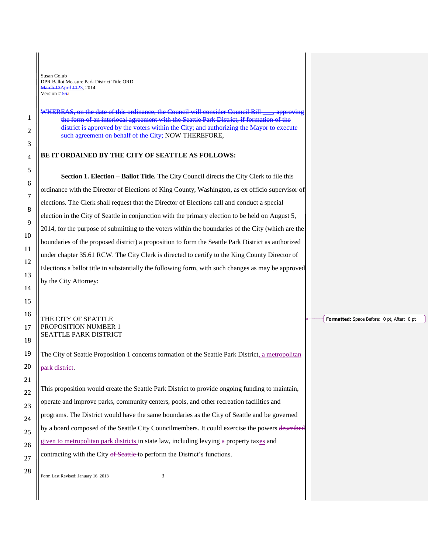Susan Golub DPR Ballot Measure Park District Title ORD  $\frac{\text{h} + 13}{\text{A}}$ pril  $\frac{112}{3}$ , 2014 Version # 56a

WHEREAS, on the date of this ordinance, the Council will consider Council Bill \_\_\_, approving the form of an interlocal agreement with the Seattle Park District, if formation of the district is approved by the voters within the City; and authorizing the Mayor to execute such agreement on behalf of the City; NOW THEREFORE,

## **BE IT ORDAINED BY THE CITY OF SEATTLE AS FOLLOWS:**

**Section 1. Election – Ballot Title.** The City Council directs the City Clerk to file this ordinance with the Director of Elections of King County, Washington, as ex officio supervisor of elections. The Clerk shall request that the Director of Elections call and conduct a special election in the City of Seattle in conjunction with the primary election to be held on August 5, 2014, for the purpose of submitting to the voters within the boundaries of the City (which are the boundaries of the proposed district) a proposition to form the Seattle Park District as authorized under chapter 35.61 RCW. The City Clerk is directed to certify to the King County Director of Elections a ballot title in substantially the following form, with such changes as may be approved by the City Attorney:

## THE CITY OF SEATTLE PROPOSITION NUMBER 1 SEATTLE PARK DISTRICT

The City of Seattle Proposition 1 concerns formation of the Seattle Park District, a metropolitan park district.

This proposition would create the Seattle Park District to provide ongoing funding to maintain, operate and improve parks, community centers, pools, and other recreation facilities and programs. The District would have the same boundaries as the City of Seattle and be governed by a board composed of the Seattle City Councilmembers. It could exercise the powers described given to metropolitan park districts in state law, including levying a-property taxes and contracting with the City of Seattle to perform the District's functions.

Form Last Revised: January 16, 2013 3

**Formatted:** Space Before: 0 pt, After: 0 pt

1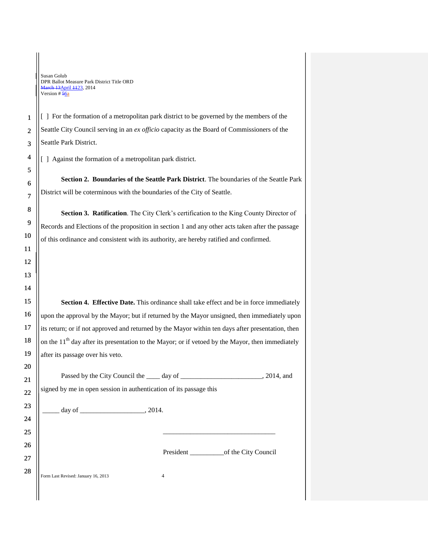## Susan Golub DPR Ballot Measure Park District Title ORD arch 13 April 1123, 2014 Version # 56a

[ ] For the formation of a metropolitan park district to be governed by the members of the Seattle City Council serving in an *ex officio* capacity as the Board of Commissioners of the Seattle Park District.

[ ] Against the formation of a metropolitan park district.

**Section 2. Boundaries of the Seattle Park District**. The boundaries of the Seattle Park District will be coterminous with the boundaries of the City of Seattle.

**Section 3. Ratification**. The City Clerk's certification to the King County Director of Records and Elections of the proposition in section 1 and any other acts taken after the passage of this ordinance and consistent with its authority, are hereby ratified and confirmed.

**Section 4. Effective Date.** This ordinance shall take effect and be in force immediately upon the approval by the Mayor; but if returned by the Mayor unsigned, then immediately upon its return; or if not approved and returned by the Mayor within ten days after presentation, then on the  $11<sup>th</sup>$  day after its presentation to the Mayor; or if vetoed by the Mayor, then immediately after its passage over his veto.

Passed by the City Council the \_\_\_\_ day of \_\_\_\_\_\_\_\_\_\_\_\_\_\_\_\_\_, 2014, and signed by me in open session in authentication of its passage this

\_\_\_\_\_ day of \_\_\_\_\_\_\_\_\_\_\_\_\_\_\_\_\_\_\_, 2014.

President \_\_\_\_\_\_\_\_\_\_of the City Council

\_\_\_\_\_\_\_\_\_\_\_\_\_\_\_\_\_\_\_\_\_\_\_\_\_\_\_\_\_\_\_\_\_

Form Last Revised: January 16, 2013 4